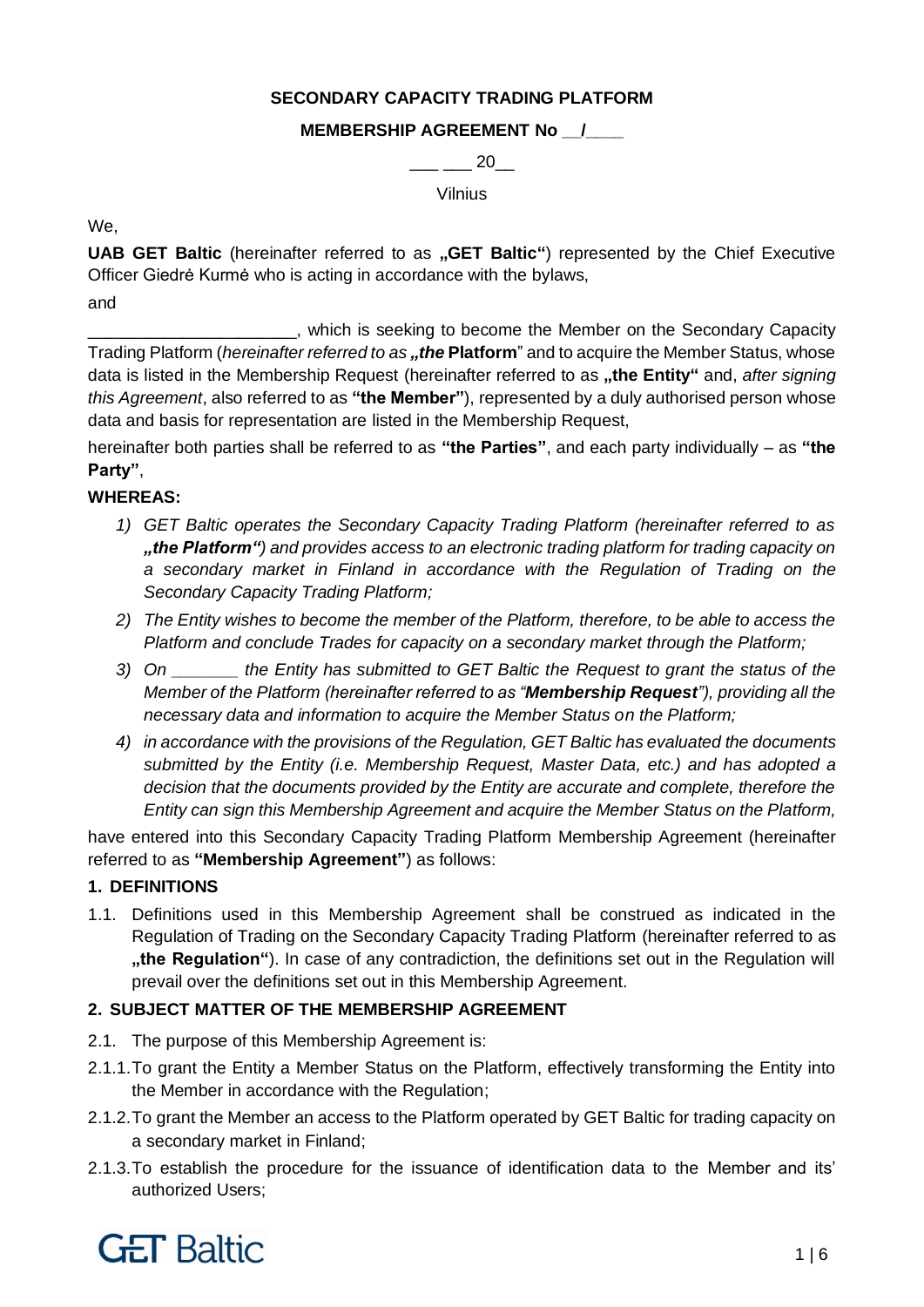### **SECONDARY CAPACITY TRADING PLATFORM**

## **MEMBERSHIP AGREEMENT No \_\_/\_\_\_\_**

 $20$ 

Vilnius

We,

**UAB GET Baltic** (hereinafter referred to as "GET Baltic") represented by the Chief Executive Officer Giedrė Kurmė who is acting in accordance with the bylaws,

and

\_\_\_\_\_\_\_\_\_\_\_\_\_\_\_\_\_\_\_\_\_\_, which is seeking to become the Member on the Secondary Capacity Trading Platform (*hereinafter referred to as* "the Platform" and to acquire the Member Status, whose data is listed in the Membership Request (hereinafter referred to as "the Entity" and, after signing *this Agreement*, also referred to as **"the Member"**), represented by a duly authorised person whose data and basis for representation are listed in the Membership Request,

hereinafter both parties shall be referred to as **"the Parties"**, and each party individually – as **"the Party"**,

## **WHEREAS:**

- *1) GET Baltic operates the Secondary Capacity Trading Platform (hereinafter referred to as "the Platform") and provides access to an electronic trading platform for trading capacity on a secondary market in Finland in accordance with the Regulation of Trading on the Secondary Capacity Trading Platform;*
- *2) The Entity wishes to become the member of the Platform, therefore, to be able to access the Platform and conclude Trades for capacity on a secondary market through the Platform;*
- *3) On \_\_\_\_\_\_\_ the Entity has submitted to GET Baltic the Request to grant the status of the Member of the Platform (hereinafter referred to as "Membership Request"), providing all the necessary data and information to acquire the Member Status on the Platform;*
- *4) in accordance with the provisions of the Regulation, GET Baltic has evaluated the documents submitted by the Entity (i.e. Membership Request, Master Data, etc.) and has adopted a decision that the documents provided by the Entity are accurate and complete, therefore the Entity can sign this Membership Agreement and acquire the Member Status on the Platform,*

have entered into this Secondary Capacity Trading Platform Membership Agreement (hereinafter referred to as **"Membership Agreement"**) as follows:

### **1. DEFINITIONS**

1.1. Definitions used in this Membership Agreement shall be construed as indicated in the Regulation of Trading on the Secondary Capacity Trading Platform (hereinafter referred to as **"the Regulation"**). In case of any contradiction, the definitions set out in the Regulation will prevail over the definitions set out in this Membership Agreement.

# **2. SUBJECT MATTER OF THE MEMBERSHIP AGREEMENT**

- 2.1. The purpose of this Membership Agreement is:
- 2.1.1.To grant the Entity a Member Status on the Platform, effectively transforming the Entity into the Member in accordance with the Regulation;
- 2.1.2.To grant the Member an access to the Platform operated by GET Baltic for trading capacity on a secondary market in Finland;
- 2.1.3.To establish the procedure for the issuance of identification data to the Member and its' authorized Users;

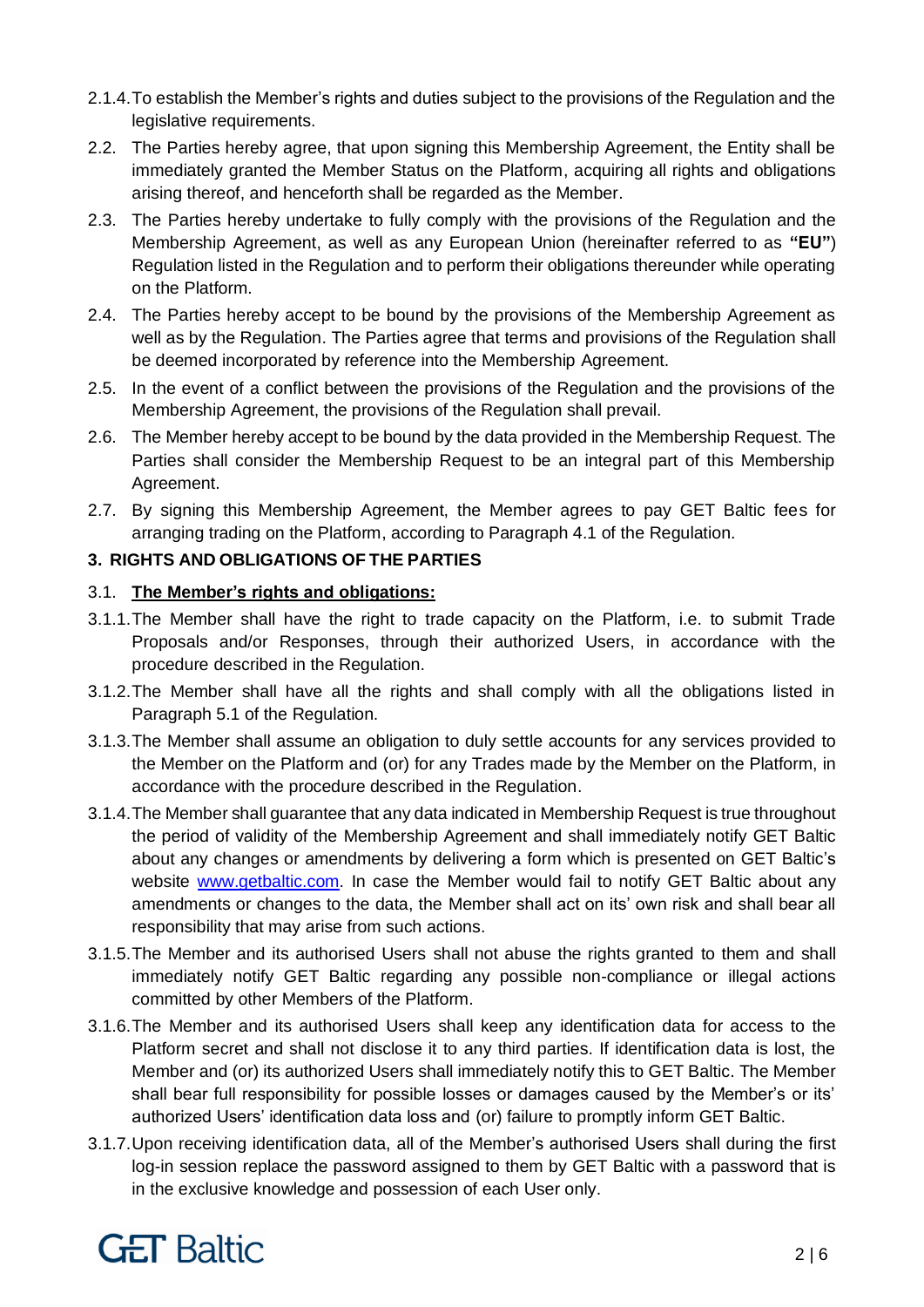- 2.1.4.To establish the Member's rights and duties subject to the provisions of the Regulation and the legislative requirements.
- 2.2. The Parties hereby agree, that upon signing this Membership Agreement, the Entity shall be immediately granted the Member Status on the Platform, acquiring all rights and obligations arising thereof, and henceforth shall be regarded as the Member.
- 2.3. The Parties hereby undertake to fully comply with the provisions of the Regulation and the Membership Agreement, as well as any European Union (hereinafter referred to as **"EU"**) Regulation listed in the Regulation and to perform their obligations thereunder while operating on the Platform.
- 2.4. The Parties hereby accept to be bound by the provisions of the Membership Agreement as well as by the Regulation. The Parties agree that terms and provisions of the Regulation shall be deemed incorporated by reference into the Membership Agreement.
- 2.5. In the event of a conflict between the provisions of the Regulation and the provisions of the Membership Agreement, the provisions of the Regulation shall prevail.
- 2.6. The Member hereby accept to be bound by the data provided in the Membership Request. The Parties shall consider the Membership Request to be an integral part of this Membership Agreement.
- 2.7. By signing this Membership Agreement, the Member agrees to pay GET Baltic fees for arranging trading on the Platform, according to Paragraph 4.1 of the Regulation.

## **3. RIGHTS AND OBLIGATIONS OF THE PARTIES**

### 3.1. **The Member's rights and obligations:**

- 3.1.1.The Member shall have the right to trade capacity on the Platform, i.e. to submit Trade Proposals and/or Responses, through their authorized Users, in accordance with the procedure described in the Regulation.
- 3.1.2.The Member shall have all the rights and shall comply with all the obligations listed in Paragraph 5.1 of the Regulation.
- 3.1.3.The Member shall assume an obligation to duly settle accounts for any services provided to the Member on the Platform and (or) for any Trades made by the Member on the Platform, in accordance with the procedure described in the Regulation.
- 3.1.4.The Member shall guarantee that any data indicated in Membership Request is true throughout the period of validity of the Membership Agreement and shall immediately notify GET Baltic about any changes or amendments by delivering a form which is presented on GET Baltic's website [www.getbaltic.com.](http://www.getbaltic.com/) In case the Member would fail to notify GET Baltic about any amendments or changes to the data, the Member shall act on its' own risk and shall bear all responsibility that may arise from such actions.
- 3.1.5.The Member and its authorised Users shall not abuse the rights granted to them and shall immediately notify GET Baltic regarding any possible non-compliance or illegal actions committed by other Members of the Platform.
- 3.1.6.The Member and its authorised Users shall keep any identification data for access to the Platform secret and shall not disclose it to any third parties. If identification data is lost, the Member and (or) its authorized Users shall immediately notify this to GET Baltic. The Member shall bear full responsibility for possible losses or damages caused by the Member's or its' authorized Users' identification data loss and (or) failure to promptly inform GET Baltic.
- 3.1.7.Upon receiving identification data, all of the Member's authorised Users shall during the first log-in session replace the password assigned to them by GET Baltic with a password that is in the exclusive knowledge and possession of each User only.

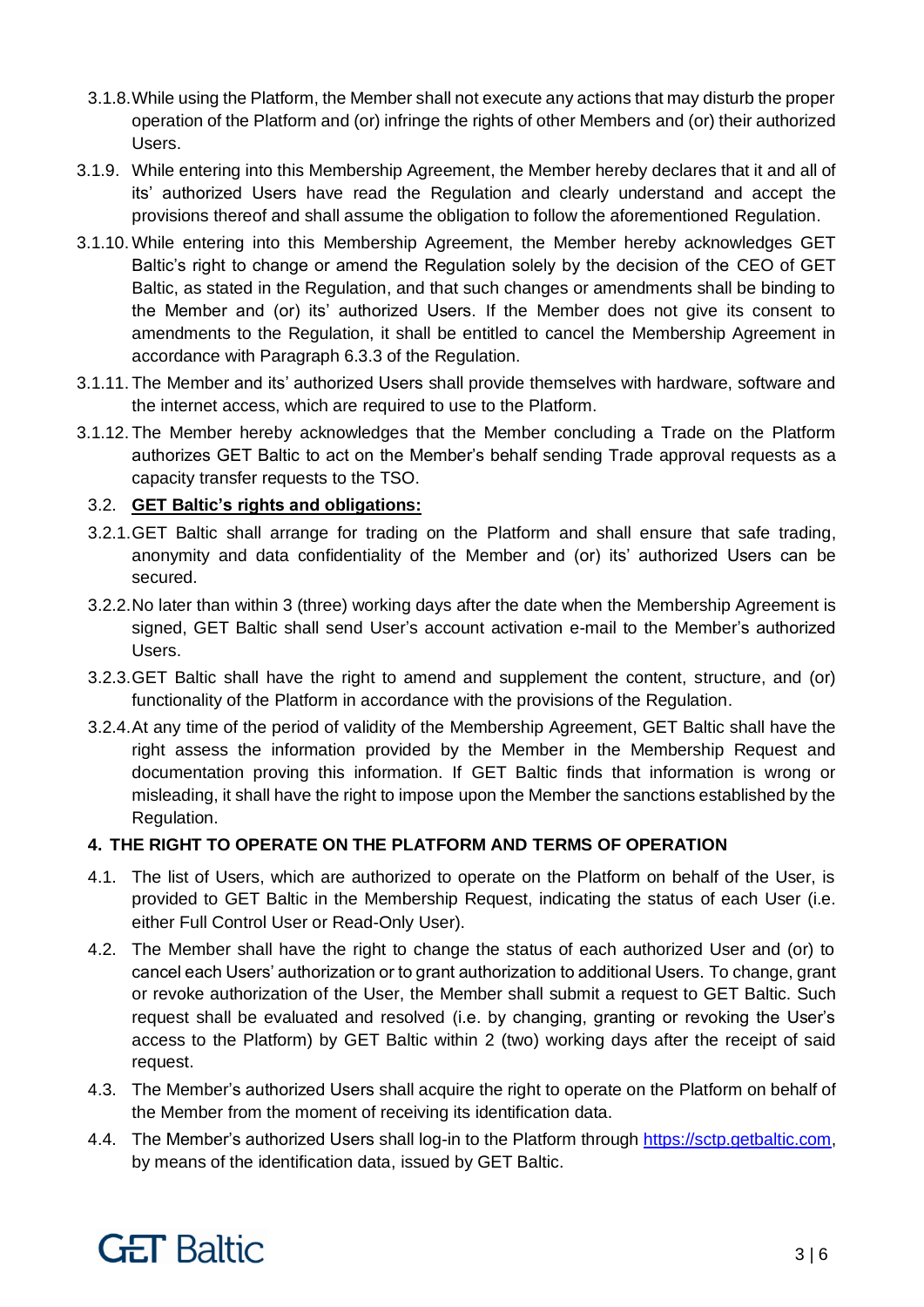- 3.1.8.While using the Platform, the Member shall not execute any actions that may disturb the proper operation of the Platform and (or) infringe the rights of other Members and (or) their authorized Users.
- 3.1.9. While entering into this Membership Agreement, the Member hereby declares that it and all of its' authorized Users have read the Regulation and clearly understand and accept the provisions thereof and shall assume the obligation to follow the aforementioned Regulation.
- 3.1.10. While entering into this Membership Agreement, the Member hereby acknowledges GET Baltic's right to change or amend the Regulation solely by the decision of the CEO of GET Baltic, as stated in the Regulation, and that such changes or amendments shall be binding to the Member and (or) its' authorized Users. If the Member does not give its consent to amendments to the Regulation, it shall be entitled to cancel the Membership Agreement in accordance with Paragraph 6.3.3 of the Regulation.
- 3.1.11. The Member and its' authorized Users shall provide themselves with hardware, software and the internet access, which are required to use to the Platform.
- 3.1.12. The Member hereby acknowledges that the Member concluding a Trade on the Platform authorizes GET Baltic to act on the Member's behalf sending Trade approval requests as a capacity transfer requests to the TSO.

## 3.2. **GET Baltic's rights and obligations:**

- 3.2.1.GET Baltic shall arrange for trading on the Platform and shall ensure that safe trading, anonymity and data confidentiality of the Member and (or) its' authorized Users can be secured.
- 3.2.2.No later than within 3 (three) working days after the date when the Membership Agreement is signed, GET Baltic shall send User's account activation e-mail to the Member's authorized Users.
- 3.2.3.GET Baltic shall have the right to amend and supplement the content, structure, and (or) functionality of the Platform in accordance with the provisions of the Regulation.
- 3.2.4.At any time of the period of validity of the Membership Agreement, GET Baltic shall have the right assess the information provided by the Member in the Membership Request and documentation proving this information. If GET Baltic finds that information is wrong or misleading, it shall have the right to impose upon the Member the sanctions established by the Regulation.

### **4. THE RIGHT TO OPERATE ON THE PLATFORM AND TERMS OF OPERATION**

- 4.1. The list of Users, which are authorized to operate on the Platform on behalf of the User, is provided to GET Baltic in the Membership Request, indicating the status of each User (i.e. either Full Control User or Read-Only User).
- 4.2. The Member shall have the right to change the status of each authorized User and (or) to cancel each Users' authorization or to grant authorization to additional Users. To change, grant or revoke authorization of the User, the Member shall submit a request to GET Baltic. Such request shall be evaluated and resolved (i.e. by changing, granting or revoking the User's access to the Platform) by GET Baltic within 2 (two) working days after the receipt of said request.
- 4.3. The Member's authorized Users shall acquire the right to operate on the Platform on behalf of the Member from the moment of receiving its identification data.
- 4.4. The Member's authorized Users shall log-in to the Platform through [https://sctp.getbaltic.com,](https://sctp.getbaltic.com/) by means of the identification data, issued by GET Baltic.

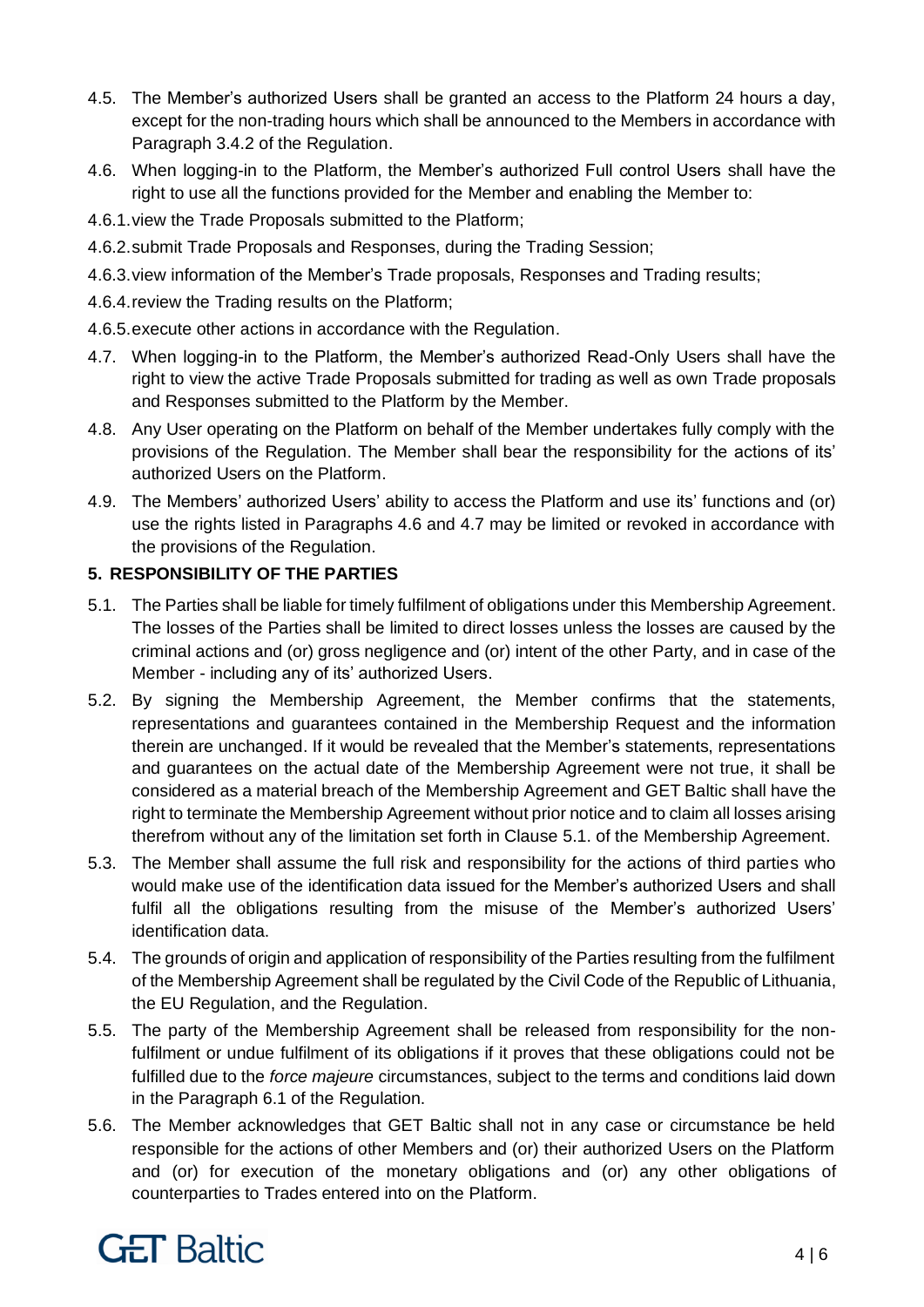- 4.5. The Member's authorized Users shall be granted an access to the Platform 24 hours a day, except for the non-trading hours which shall be announced to the Members in accordance with Paragraph 3.4.2 of the Regulation.
- 4.6. When logging-in to the Platform, the Member's authorized Full control Users shall have the right to use all the functions provided for the Member and enabling the Member to:
- 4.6.1.view the Trade Proposals submitted to the Platform;
- 4.6.2.submit Trade Proposals and Responses, during the Trading Session;
- 4.6.3.view information of the Member's Trade proposals, Responses and Trading results;
- 4.6.4.review the Trading results on the Platform;
- 4.6.5.execute other actions in accordance with the Regulation.
- 4.7. When logging-in to the Platform, the Member's authorized Read-Only Users shall have the right to view the active Trade Proposals submitted for trading as well as own Trade proposals and Responses submitted to the Platform by the Member.
- 4.8. Any User operating on the Platform on behalf of the Member undertakes fully comply with the provisions of the Regulation. The Member shall bear the responsibility for the actions of its' authorized Users on the Platform.
- 4.9. The Members' authorized Users' ability to access the Platform and use its' functions and (or) use the rights listed in Paragraphs 4.6 and 4.7 may be limited or revoked in accordance with the provisions of the Regulation.

# **5. RESPONSIBILITY OF THE PARTIES**

- 5.1. The Parties shall be liable for timely fulfilment of obligations under this Membership Agreement. The losses of the Parties shall be limited to direct losses unless the losses are caused by the criminal actions and (or) gross negligence and (or) intent of the other Party, and in case of the Member - including any of its' authorized Users.
- 5.2. By signing the Membership Agreement, the Member confirms that the statements, representations and guarantees contained in the Membership Request and the information therein are unchanged. If it would be revealed that the Member's statements, representations and guarantees on the actual date of the Membership Agreement were not true, it shall be considered as a material breach of the Membership Agreement and GET Baltic shall have the right to terminate the Membership Agreement without prior notice and to claim all losses arising therefrom without any of the limitation set forth in Clause 5.1. of the Membership Agreement.
- 5.3. The Member shall assume the full risk and responsibility for the actions of third parties who would make use of the identification data issued for the Member's authorized Users and shall fulfil all the obligations resulting from the misuse of the Member's authorized Users' identification data.
- 5.4. The grounds of origin and application of responsibility of the Parties resulting from the fulfilment of the Membership Agreement shall be regulated by the Civil Code of the Republic of Lithuania, the EU Regulation, and the Regulation.
- 5.5. The party of the Membership Agreement shall be released from responsibility for the nonfulfilment or undue fulfilment of its obligations if it proves that these obligations could not be fulfilled due to the *force majeure* circumstances, subject to the terms and conditions laid down in the Paragraph 6.1 of the Regulation.
- 5.6. The Member acknowledges that GET Baltic shall not in any case or circumstance be held responsible for the actions of other Members and (or) their authorized Users on the Platform and (or) for execution of the monetary obligations and (or) any other obligations of counterparties to Trades entered into on the Platform.

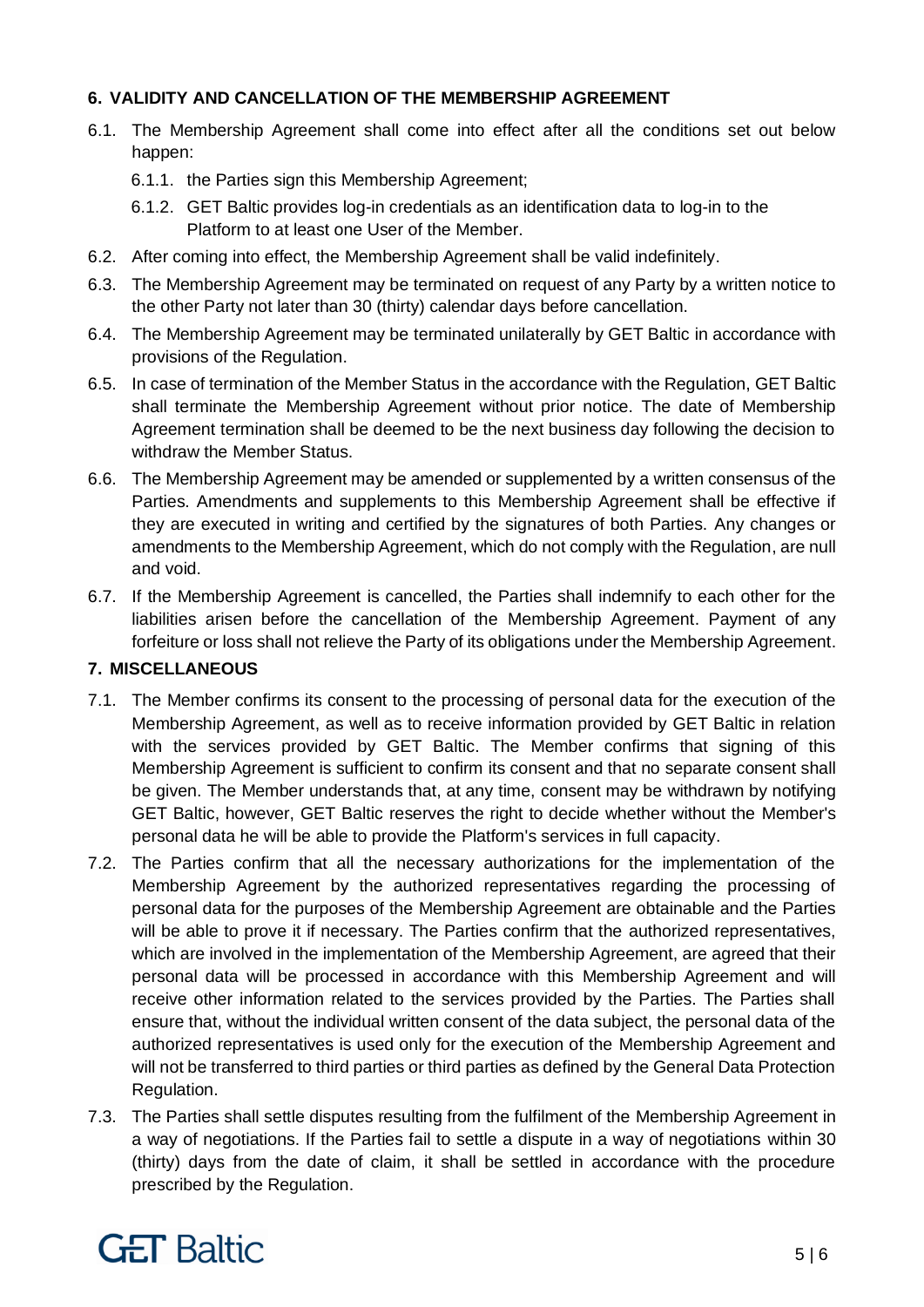### **6. VALIDITY AND CANCELLATION OF THE MEMBERSHIP AGREEMENT**

- 6.1. The Membership Agreement shall come into effect after all the conditions set out below happen:
	- 6.1.1. the Parties sign this Membership Agreement;
	- 6.1.2. GET Baltic provides log-in credentials as an identification data to log-in to the Platform to at least one User of the Member.
- 6.2. After coming into effect, the Membership Agreement shall be valid indefinitely.
- 6.3. The Membership Agreement may be terminated on request of any Party by a written notice to the other Party not later than 30 (thirty) calendar days before cancellation.
- 6.4. The Membership Agreement may be terminated unilaterally by GET Baltic in accordance with provisions of the Regulation.
- 6.5. In case of termination of the Member Status in the accordance with the Regulation, GET Baltic shall terminate the Membership Agreement without prior notice. The date of Membership Agreement termination shall be deemed to be the next business day following the decision to withdraw the Member Status.
- 6.6. The Membership Agreement may be amended or supplemented by a written consensus of the Parties. Amendments and supplements to this Membership Agreement shall be effective if they are executed in writing and certified by the signatures of both Parties. Any changes or amendments to the Membership Agreement, which do not comply with the Regulation, are null and void.
- 6.7. If the Membership Agreement is cancelled, the Parties shall indemnify to each other for the liabilities arisen before the cancellation of the Membership Agreement. Payment of any forfeiture or loss shall not relieve the Party of its obligations under the Membership Agreement.

### **7. MISCELLANEOUS**

- 7.1. The Member confirms its consent to the processing of personal data for the execution of the Membership Agreement, as well as to receive information provided by GET Baltic in relation with the services provided by GET Baltic. The Member confirms that signing of this Membership Agreement is sufficient to confirm its consent and that no separate consent shall be given. The Member understands that, at any time, consent may be withdrawn by notifying GET Baltic, however, GET Baltic reserves the right to decide whether without the Member's personal data he will be able to provide the Platform's services in full capacity.
- 7.2. The Parties confirm that all the necessary authorizations for the implementation of the Membership Agreement by the authorized representatives regarding the processing of personal data for the purposes of the Membership Agreement are obtainable and the Parties will be able to prove it if necessary. The Parties confirm that the authorized representatives, which are involved in the implementation of the Membership Agreement, are agreed that their personal data will be processed in accordance with this Membership Agreement and will receive other information related to the services provided by the Parties. The Parties shall ensure that, without the individual written consent of the data subject, the personal data of the authorized representatives is used only for the execution of the Membership Agreement and will not be transferred to third parties or third parties as defined by the General Data Protection Regulation.
- 7.3. The Parties shall settle disputes resulting from the fulfilment of the Membership Agreement in a way of negotiations. If the Parties fail to settle a dispute in a way of negotiations within 30 (thirty) days from the date of claim, it shall be settled in accordance with the procedure prescribed by the Regulation.